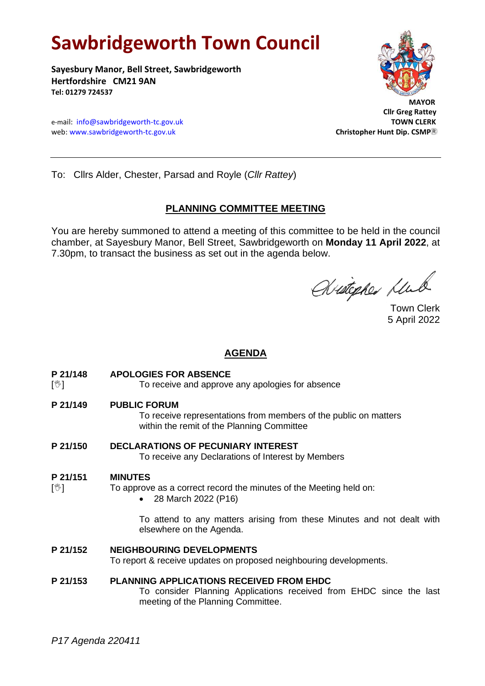# **Sawbridgeworth Town Council**

**Sayesbury Manor, Bell Street, Sawbridgeworth Hertfordshire CM21 9AN Tel: 01279 724537**

e-mail: [info@sawbridgeworth-tc.gov.uk](mailto:info@sawbridgeworth-tc.gov.uk)<br>
web: www.sawbridgeworth-tc.gov.uk **TOWN CLERK**<br>
Christopher Hunt Dip. CSMP® web: www.sawbridgeworth-tc.gov.uk



 **Cllr Greg Rattey**

To: Cllrs Alder, Chester, Parsad and Royle (*Cllr Rattey*)

# **PLANNING COMMITTEE MEETING**

You are hereby summoned to attend a meeting of this committee to be held in the council chamber, at Sayesbury Manor, Bell Street, Sawbridgeworth on **Monday 11 April 2022**, at 7.30pm, to transact the business as set out in the agenda below.

Avistopher Klub

Town Clerk 5 April 2022

# **AGENDA**

- **P 21/148 APOLOGIES FOR ABSENCE**
- [ $\mathcal{V}$ ] To receive and approve any apologies for absence
- **P 21/149 PUBLIC FORUM**

To receive representations from members of the public on matters within the remit of the Planning Committee

**P 21/150 DECLARATIONS OF PECUNIARY INTEREST** To receive any Declarations of Interest by Members

#### **P 21/151 MINUTES**

- $\lceil \sqrt[6]{2} \rceil$  To approve as a correct record the minutes of the Meeting held on:
	- 28 March 2022 (P16)

To attend to any matters arising from these Minutes and not dealt with elsewhere on the Agenda.

# **P 21/152 NEIGHBOURING DEVELOPMENTS**

To report & receive updates on proposed neighbouring developments.

# **P 21/153 PLANNING APPLICATIONS RECEIVED FROM EHDC**

To consider Planning Applications received from EHDC since the last meeting of the Planning Committee.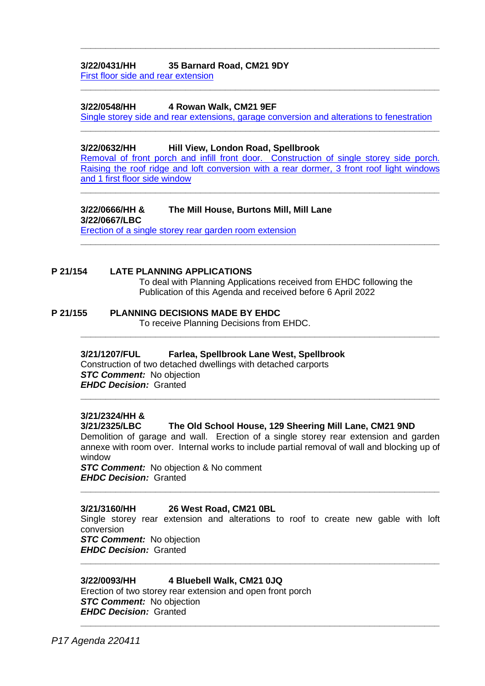# **3/22/0431/HH 35 Barnard Road, CM21 9DY**

[First floor side and rear extension](https://publicaccess.eastherts.gov.uk/online-applications/applicationDetails.do?activeTab=documents&keyVal=R7UP34GLJOB00)

#### **3/22/0548/HH 4 Rowan Walk, CM21 9EF**

Single storey side and [rear extensions, garage conversion and alterations to fenestration](https://publicaccess.eastherts.gov.uk/online-applications/applicationDetails.do?activeTab=documents&keyVal=R8QHFUGLJXM00) **\_\_\_\_\_\_\_\_\_\_\_\_\_\_\_\_\_\_\_\_\_\_\_\_\_\_\_\_\_\_\_\_\_\_\_\_\_\_\_\_\_\_\_\_\_\_\_\_\_\_\_\_\_\_\_\_\_\_\_\_\_\_\_\_\_\_\_\_\_\_\_\_**

**\_\_\_\_\_\_\_\_\_\_\_\_\_\_\_\_\_\_\_\_\_\_\_\_\_\_\_\_\_\_\_\_\_\_\_\_\_\_\_\_\_\_\_\_\_\_\_\_\_\_\_\_\_\_\_\_\_\_\_\_\_\_\_\_\_\_\_\_\_\_\_\_**

**\_\_\_\_\_\_\_\_\_\_\_\_\_\_\_\_\_\_\_\_\_\_\_\_\_\_\_\_\_\_\_\_\_\_\_\_\_\_\_\_\_\_\_\_\_\_\_\_\_\_\_\_\_\_\_\_\_\_\_\_\_\_\_\_\_\_\_\_\_\_\_\_**

#### **3/22/0632/HH Hill View, London Road, Spellbrook**

[Removal of front porch and infill front door. Construction of single storey side porch.](https://publicaccess.eastherts.gov.uk/online-applications/applicationDetails.do?activeTab=documents&keyVal=R99038GLK3I00)  [Raising the roof ridge and loft conversion with a rear dormer, 3 front roof light windows](https://publicaccess.eastherts.gov.uk/online-applications/applicationDetails.do?activeTab=documents&keyVal=R99038GLK3I00)  [and 1 first floor](https://publicaccess.eastherts.gov.uk/online-applications/applicationDetails.do?activeTab=documents&keyVal=R99038GLK3I00) side window

**\_\_\_\_\_\_\_\_\_\_\_\_\_\_\_\_\_\_\_\_\_\_\_\_\_\_\_\_\_\_\_\_\_\_\_\_\_\_\_\_\_\_\_\_\_\_\_\_\_\_\_\_\_\_\_\_\_\_\_\_\_\_\_\_\_\_\_\_\_\_\_\_**

**\_\_\_\_\_\_\_\_\_\_\_\_\_\_\_\_\_\_\_\_\_\_\_\_\_\_\_\_\_\_\_\_\_\_\_\_\_\_\_\_\_\_\_\_\_\_\_\_\_\_\_\_\_\_\_\_\_\_\_\_\_\_\_\_\_\_\_\_\_\_\_\_**

**\_\_\_\_\_\_\_\_\_\_\_\_\_\_\_\_\_\_\_\_\_\_\_\_\_\_\_\_\_\_\_\_\_\_\_\_\_\_\_\_\_\_\_\_\_\_\_\_\_\_\_\_\_\_\_\_\_\_\_\_\_\_\_\_\_\_\_\_\_\_\_\_**

# **3/22/0666/HH & The Mill House, Burtons Mill, Mill Lane**

**3/22/0667/LBC** [Erection of a single storey rear garden room extension](https://publicaccess.eastherts.gov.uk/online-applications/applicationDetails.do?activeTab=documents&keyVal=R9GN3KGLK5J00)

# **P 21/154 LATE PLANNING APPLICATIONS**

To deal with Planning Applications received from EHDC following the Publication of this Agenda and received before 6 April 2022

#### **P 21/155 PLANNING DECISIONS MADE BY EHDC**

To receive Planning Decisions from EHDC.

# **3/21/1207/FUL Farlea, Spellbrook Lane West, Spellbrook**

Construction of two detached dwellings with detached carports *STC Comment:* No objection *EHDC Decision:* Granted **\_\_\_\_\_\_\_\_\_\_\_\_\_\_\_\_\_\_\_\_\_\_\_\_\_\_\_\_\_\_\_\_\_\_\_\_\_\_\_\_\_\_\_\_\_\_\_\_\_\_\_\_\_\_\_\_\_\_\_\_\_\_\_\_\_\_\_\_\_\_\_\_**

#### **3/21/2324/HH &**

#### **3/21/2325/LBC The Old School House, 129 Sheering Mill Lane, CM21 9ND**

Demolition of garage and wall. Erection of a single storey rear extension and garden annexe with room over. Internal works to include partial removal of wall and blocking up of window

*STC Comment:* No objection & No comment *EHDC Decision:* Granted

#### **3/21/3160/HH 26 West Road, CM21 0BL**

Single storey rear extension and alterations to roof to create new gable with loft conversion

**\_\_\_\_\_\_\_\_\_\_\_\_\_\_\_\_\_\_\_\_\_\_\_\_\_\_\_\_\_\_\_\_\_\_\_\_\_\_\_\_\_\_\_\_\_\_\_\_\_\_\_\_\_\_\_\_\_\_\_\_\_\_\_\_\_\_\_\_\_\_\_\_**

**\_\_\_\_\_\_\_\_\_\_\_\_\_\_\_\_\_\_\_\_\_\_\_\_\_\_\_\_\_\_\_\_\_\_\_\_\_\_\_\_\_\_\_\_\_\_\_\_\_\_\_\_\_\_\_\_\_\_\_\_\_\_\_\_\_\_\_\_\_\_\_\_**

*STC Comment:* No objection *EHDC Decision:* Granted

#### **3/22/0093/HH 4 Bluebell Walk, CM21 0JQ**

Erection of two storey rear extension and open front porch **STC Comment:** No objection *EHDC Decision:* Granted **\_\_\_\_\_\_\_\_\_\_\_\_\_\_\_\_\_\_\_\_\_\_\_\_\_\_\_\_\_\_\_\_\_\_\_\_\_\_\_\_\_\_\_\_\_\_\_\_\_\_\_\_\_\_\_\_\_\_\_\_\_\_\_\_\_\_\_\_\_\_\_\_**